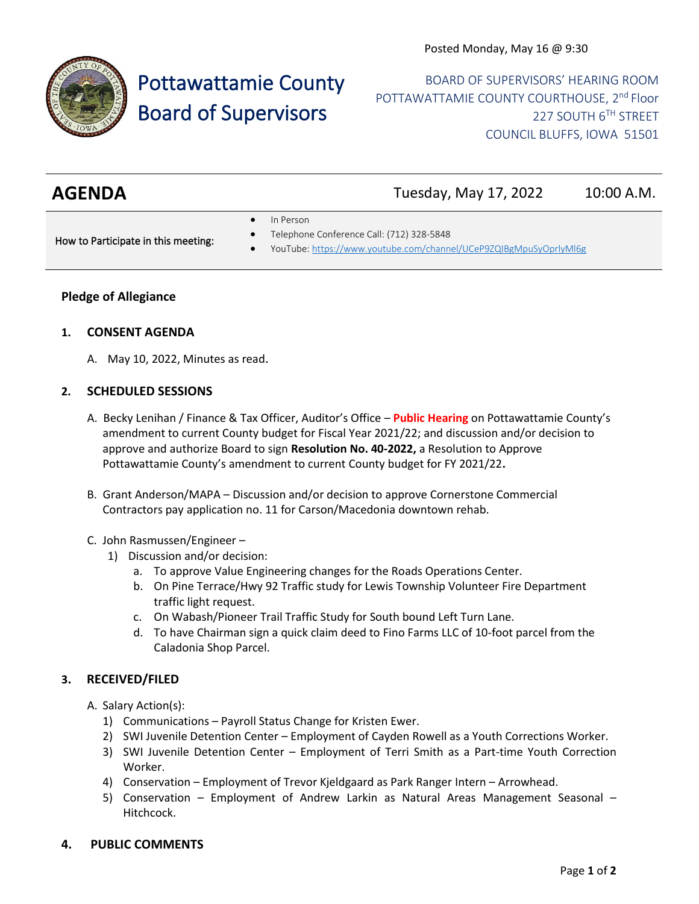

# Pottawattamie County Board of Supervisors

BOARD OF SUPERVISORS' HEARING ROOM POTTAWATTAMIE COUNTY COURTHOUSE, 2<sup>nd</sup> Floor 227 SOUTH 6TH STREET COUNCIL BLUFFS, IOWA 51501

| <b>AGENDA</b> | Tuesday, May 17, 2022 | 10:00 A.M. |
|---------------|-----------------------|------------|

• In Person

How to Participate in this meeting:

- Telephone Conference Call: (712) 328-5848
- YouTube[: https://www.youtube.com/channel/UCeP9ZQIBgMpuSyOprlyMl6g](https://www.youtube.com/channel/UCeP9ZQIBgMpuSyOprlyMl6g)

## **Pledge of Allegiance**

### **1. CONSENT AGENDA**

A. May 10, 2022, Minutes as read.

### **2. SCHEDULED SESSIONS**

- A. Becky Lenihan / Finance & Tax Officer, Auditor's Office **Public Hearing** on Pottawattamie County's amendment to current County budget for Fiscal Year 2021/22; and discussion and/or decision to approve and authorize Board to sign **Resolution No. 40-2022,** a Resolution to Approve Pottawattamie County's amendment to current County budget for FY 2021/22**.**
- B. Grant Anderson/MAPA Discussion and/or decision to approve Cornerstone Commercial Contractors pay application no. 11 for Carson/Macedonia downtown rehab.
- C. John Rasmussen/Engineer
	- 1) Discussion and/or decision:
		- a. To approve Value Engineering changes for the Roads Operations Center.
		- b. On Pine Terrace/Hwy 92 Traffic study for Lewis Township Volunteer Fire Department traffic light request.
		- c. On Wabash/Pioneer Trail Traffic Study for South bound Left Turn Lane.
		- d. To have Chairman sign a quick claim deed to Fino Farms LLC of 10-foot parcel from the Caladonia Shop Parcel.

## **3. RECEIVED/FILED**

- A. Salary Action(s):
	- 1) Communications Payroll Status Change for Kristen Ewer.
	- 2) SWI Juvenile Detention Center Employment of Cayden Rowell as a Youth Corrections Worker.
	- 3) SWI Juvenile Detention Center Employment of Terri Smith as a Part-time Youth Correction Worker.
	- 4) Conservation Employment of Trevor Kjeldgaard as Park Ranger Intern Arrowhead.
	- 5) Conservation Employment of Andrew Larkin as Natural Areas Management Seasonal Hitchcock.
- **4. PUBLIC COMMENTS**